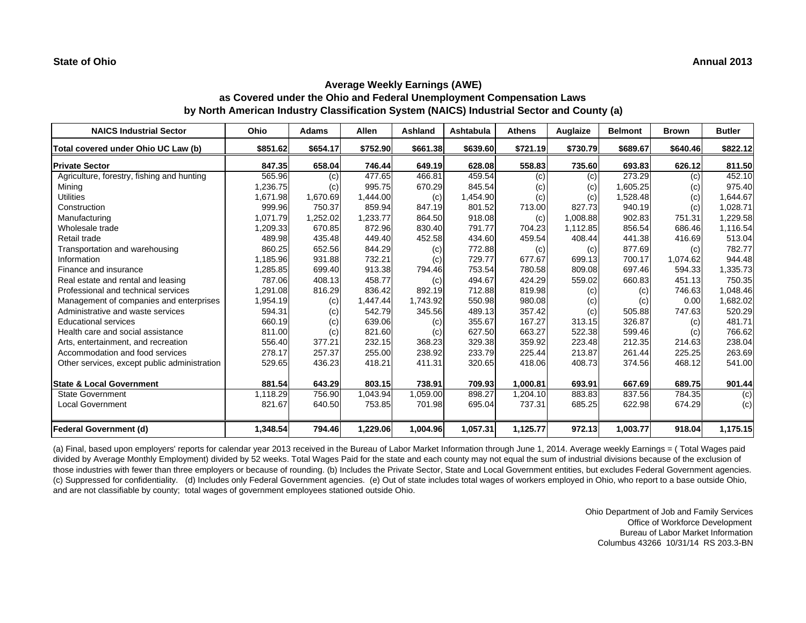| <b>NAICS Industrial Sector</b>               | Ohio     | <b>Adams</b> | Allen    | Ashland  | Ashtabula | <b>Athens</b> | Auglaize | <b>Belmont</b> | <b>Brown</b> | <b>Butler</b> |
|----------------------------------------------|----------|--------------|----------|----------|-----------|---------------|----------|----------------|--------------|---------------|
| Total covered under Ohio UC Law (b)          | \$851.62 | \$654.17     | \$752.90 | \$661.38 | \$639.60  | \$721.19      | \$730.79 | \$689.67       | \$640.46     | \$822.12      |
| <b>Private Sector</b>                        | 847.35   | 658.04       | 746.44   | 649.19   | 628.08    | 558.83        | 735.60   | 693.83         | 626.12       | 811.50        |
| Agriculture, forestry, fishing and hunting   | 565.96   | (c)          | 477.65   | 466.81   | 459.54    | (c)           | (c)      | 273.29         | (c)          | 452.10        |
| Mining                                       | 1,236.75 | (c)          | 995.75   | 670.29   | 845.54    | (c)           | (c)      | 1,605.25       | (c)          | 975.40        |
| <b>Utilities</b>                             | 1,671.98 | 1,670.69     | 1,444.00 | (c)      | 1,454.90  | (c)           | (c)      | 1,528.48       | (c)          | 1,644.67      |
| Construction                                 | 999.96   | 750.37       | 859.94   | 847.19   | 801.52    | 713.00        | 827.73   | 940.19         | (c)          | 1,028.71      |
| Manufacturing                                | 1,071.79 | 1,252.02     | 1,233.77 | 864.50   | 918.08    | (c)           | 1,008.88 | 902.83         | 751.31       | 1,229.58      |
| Wholesale trade                              | 1,209.33 | 670.85       | 872.96   | 830.40   | 791.77    | 704.23        | 1,112.85 | 856.54         | 686.46       | 1,116.54      |
| Retail trade                                 | 489.98   | 435.48       | 449.40   | 452.58   | 434.60    | 459.54        | 408.44   | 441.38         | 416.69       | 513.04        |
| Transportation and warehousing               | 860.25   | 652.56       | 844.29   | (c)      | 772.88    | (c)           | (c)      | 877.69         | (c)          | 782.77        |
| Information                                  | 1,185.96 | 931.88       | 732.21   | (c)      | 729.77    | 677.67        | 699.13   | 700.17         | 1,074.62     | 944.48        |
| Finance and insurance                        | 1,285.85 | 699.40       | 913.38   | 794.46   | 753.54    | 780.58        | 809.08   | 697.46         | 594.33       | 1,335.73      |
| Real estate and rental and leasing           | 787.06   | 408.13       | 458.77   | (c)      | 494.67    | 424.29        | 559.02   | 660.83         | 451.13       | 750.35        |
| Professional and technical services          | 1,291.08 | 816.29       | 836.42   | 892.19   | 712.88    | 819.98        | (c)      | (c)            | 746.63       | 1,048.46      |
| Management of companies and enterprises      | 1,954.19 | (c)          | 1,447.44 | 1,743.92 | 550.98    | 980.08        | (c)      | (c)            | 0.00         | 1,682.02      |
| Administrative and waste services            | 594.31   | (c)          | 542.79   | 345.56   | 489.13    | 357.42        | (c)      | 505.88         | 747.63       | 520.29        |
| <b>Educational services</b>                  | 660.19   | (c)          | 639.06   | (c)      | 355.67    | 167.27        | 313.15   | 326.87         | (c)          | 481.71        |
| Health care and social assistance            | 811.00   | (c)          | 821.60   | (c)      | 627.50    | 663.27        | 522.38   | 599.46         | (c)          | 766.62        |
| Arts, entertainment, and recreation          | 556.40   | 377.21       | 232.15   | 368.23   | 329.38    | 359.92        | 223.48   | 212.35         | 214.63       | 238.04        |
| Accommodation and food services              | 278.17   | 257.37       | 255.00   | 238.92   | 233.79    | 225.44        | 213.87   | 261.44         | 225.25       | 263.69        |
| Other services, except public administration | 529.65   | 436.23       | 418.21   | 411.31   | 320.65    | 418.06        | 408.73   | 374.56         | 468.12       | 541.00        |
| <b>State &amp; Local Government</b>          | 881.54   | 643.29       | 803.15   | 738.91   | 709.93    | 1,000.81      | 693.91   | 667.69         | 689.75       | 901.44        |
| <b>State Government</b>                      | 1,118.29 | 756.90       | 1,043.94 | 1,059.00 | 898.27    | 1,204.10      | 883.83   | 837.56         | 784.35       | (c)           |
| <b>Local Government</b>                      | 821.67   | 640.50       | 753.85   | 701.98   | 695.04    | 737.31        | 685.25   | 622.98         | 674.29       | (c)           |
|                                              |          |              |          |          |           |               |          |                |              |               |
| <b>Federal Government (d)</b>                | 1,348.54 | 794.46       | 1,229.06 | 1,004.96 | 1,057.31  | 1,125.77      | 972.13   | 1,003.77       | 918.04       | 1,175.15      |

(a) Final, based upon employers' reports for calendar year 2013 received in the Bureau of Labor Market Information through June 1, 2014. Average weekly Earnings = ( Total Wages paid divided by Average Monthly Employment) divided by 52 weeks. Total Wages Paid for the state and each county may not equal the sum of industrial divisions because of the exclusion of those industries with fewer than three employers or because of rounding. (b) Includes the Private Sector, State and Local Government entities, but excludes Federal Government agencies. (c) Suppressed for confidentiality. (d) Includes only Federal Government agencies. (e) Out of state includes total wages of workers employed in Ohio, who report to a base outside Ohio, and are not classifiable by county; total wages of government employees stationed outside Ohio.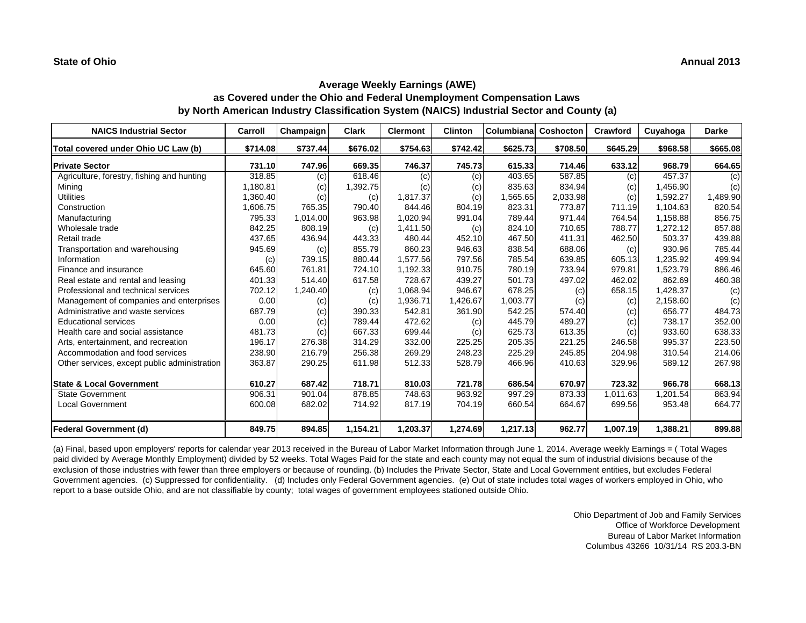| <b>NAICS Industrial Sector</b>               | Carroll  | Champaign | <b>Clark</b> | <b>Clermont</b> | <b>Clinton</b> | Columbiana | Coshocton | Crawford | Cuyahoga | <b>Darke</b> |
|----------------------------------------------|----------|-----------|--------------|-----------------|----------------|------------|-----------|----------|----------|--------------|
| Total covered under Ohio UC Law (b)          | \$714.08 | \$737.44  | \$676.02     | \$754.63        | \$742.42       | \$625.73   | \$708.50  | \$645.29 | \$968.58 | \$665.08     |
| <b>Private Sector</b>                        | 731.10   | 747.96    | 669.35       | 746.37          | 745.73         | 615.33     | 714.46    | 633.12   | 968.79   | 664.65       |
| Agriculture, forestry, fishing and hunting   | 318.85   | (c)       | 618.46       | (c)             | (c)            | 403.65     | 587.85    | (c)      | 457.37   | (c)          |
| Mining                                       | 1,180.81 | (c)       | 1,392.75     | (c)             | (c)            | 835.63     | 834.94    | (c)      | 1,456.90 | (c)          |
| <b>Utilities</b>                             | 1,360.40 | (c)       | (c)          | 1,817.37        | (c)            | 1,565.65   | 2,033.98  | (c)      | 1,592.27 | 1,489.90     |
| Construction                                 | 1,606.75 | 765.35    | 790.40       | 844.46          | 804.19         | 823.31     | 773.87    | 711.19   | 1,104.63 | 820.54       |
| Manufacturing                                | 795.33   | 1,014.00  | 963.98       | 1,020.94        | 991.04         | 789.44     | 971.44    | 764.54   | 1,158.88 | 856.75       |
| Wholesale trade                              | 842.25   | 808.19    | (c)          | 1,411.50        | (c)            | 824.10     | 710.65    | 788.77   | 1,272.12 | 857.88       |
| Retail trade                                 | 437.65   | 436.94    | 443.33       | 480.44          | 452.10         | 467.50     | 411.31    | 462.50   | 503.37   | 439.88       |
| Transportation and warehousing               | 945.69   | (c)       | 855.79       | 860.23          | 946.63         | 838.54     | 688.06    | (c)      | 930.96   | 785.44       |
| Information                                  | (c)      | 739.15    | 880.44       | 1,577.56        | 797.56         | 785.54     | 639.85    | 605.13   | 1,235.92 | 499.94       |
| Finance and insurance                        | 645.60   | 761.81    | 724.10       | 1,192.33        | 910.75         | 780.19     | 733.94    | 979.81   | 1,523.79 | 886.46       |
| Real estate and rental and leasing           | 401.33   | 514.40    | 617.58       | 728.67          | 439.27         | 501.73     | 497.02    | 462.02   | 862.69   | 460.38       |
| Professional and technical services          | 702.12   | 1,240.40  | (c)          | 1.068.94        | 946.67         | 678.25     | (c)       | 658.15   | 1,428.37 | (c)          |
| Management of companies and enterprises      | 0.00     | (c)       | (c)          | 1,936.71        | 1,426.67       | 1,003.77   | (c)       | (c)      | 2,158.60 | (c)          |
| Administrative and waste services            | 687.79   | (c)       | 390.33       | 542.81          | 361.90         | 542.25     | 574.40    | (c)      | 656.77   | 484.73       |
| <b>Educational services</b>                  | 0.00     | (c)       | 789.44       | 472.62          | (c)            | 445.79     | 489.27    | (c)      | 738.17   | 352.00       |
| Health care and social assistance            | 481.73   | (c)       | 667.33       | 699.44          | (c)            | 625.73     | 613.35    | (c)      | 933.60   | 638.33       |
| Arts, entertainment, and recreation          | 196.17   | 276.38    | 314.29       | 332.00          | 225.25         | 205.35     | 221.25    | 246.58   | 995.37   | 223.50       |
| Accommodation and food services              | 238.90   | 216.79    | 256.38       | 269.29          | 248.23         | 225.29     | 245.85    | 204.98   | 310.54   | 214.06       |
| Other services, except public administration | 363.87   | 290.25    | 611.98       | 512.33          | 528.79         | 466.96     | 410.63    | 329.96   | 589.12   | 267.98       |
| <b>State &amp; Local Government</b>          | 610.27   | 687.42    | 718.71       | 810.03          | 721.78         | 686.54     | 670.97    | 723.32   | 966.78   | 668.13       |
| <b>State Government</b>                      | 906.31   | 901.04    | 878.85       | 748.63          | 963.92         | 997.29     | 873.33    | 1.011.63 | 1,201.54 | 863.94       |
| <b>Local Government</b>                      | 600.08   | 682.02    | 714.92       | 817.19          | 704.19         | 660.54     | 664.67    | 699.56   | 953.48   | 664.77       |
| <b>Federal Government (d)</b>                | 849.75   | 894.85    | 1,154.21     | 1,203.37        | 1,274.69       | 1,217.13   | 962.77    | 1,007.19 | 1,388.21 | 899.88       |

(a) Final, based upon employers' reports for calendar year 2013 received in the Bureau of Labor Market Information through June 1, 2014. Average weekly Earnings = ( Total Wages paid divided by Average Monthly Employment) divided by 52 weeks. Total Wages Paid for the state and each county may not equal the sum of industrial divisions because of the exclusion of those industries with fewer than three employers or because of rounding. (b) Includes the Private Sector, State and Local Government entities, but excludes Federal Government agencies. (c) Suppressed for confidentiality. (d) Includes only Federal Government agencies. (e) Out of state includes total wages of workers employed in Ohio, who report to a base outside Ohio, and are not classifiable by county; total wages of government employees stationed outside Ohio.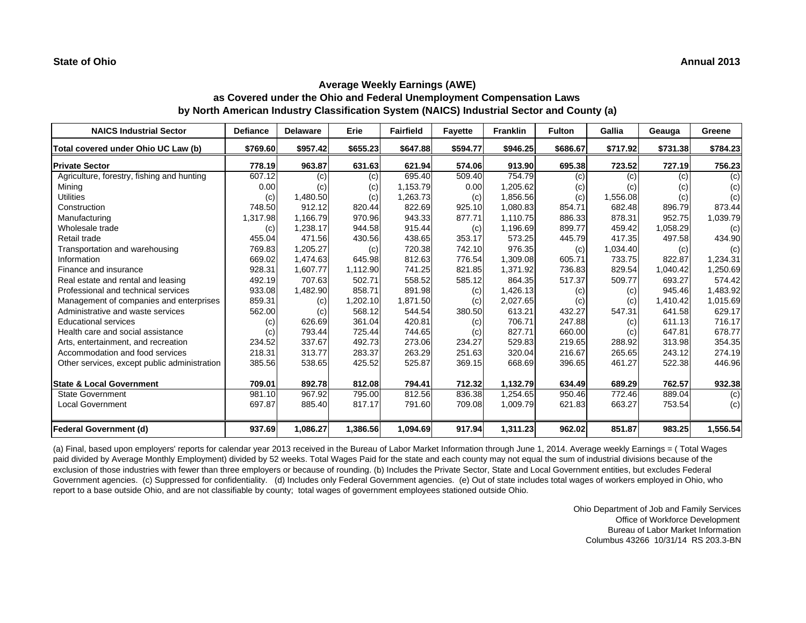| <b>NAICS Industrial Sector</b>               | <b>Defiance</b> | <b>Delaware</b> | Erie     | <b>Fairfield</b> | <b>Fayette</b> | <b>Franklin</b> | <b>Fulton</b> | Gallia   | Geauga   | Greene   |
|----------------------------------------------|-----------------|-----------------|----------|------------------|----------------|-----------------|---------------|----------|----------|----------|
| Total covered under Ohio UC Law (b)          | \$769.60        | \$957.42        | \$655.23 | \$647.88         | \$594.77       | \$946.25        | \$686.67      | \$717.92 | \$731.38 | \$784.23 |
| <b>Private Sector</b>                        | 778.19          | 963.87          | 631.63   | 621.94           | 574.06         | 913.90          | 695.38        | 723.52   | 727.19   | 756.23   |
| Agriculture, forestry, fishing and hunting   | 607.12          | (c)             | (c)      | 695.40           | 509.40         | 754.79          | (c)           | (c)      | (c)      | (c)      |
| Mining                                       | 0.00            | (c)             | (c)      | 1,153.79         | 0.00           | 1,205.62        | (c)           | (c)      | (c)      | (c)      |
| <b>Utilities</b>                             | (c)             | 1,480.50        | (c)      | 1,263.73         | (c)            | 1,856.56        | (c)           | 1,556.08 | (c)      | (c)      |
| Construction                                 | 748.50          | 912.12          | 820.44   | 822.69           | 925.10         | 1,080.83        | 854.71        | 682.48   | 896.79   | 873.44   |
| Manufacturing                                | 1,317.98        | 1,166.79        | 970.96   | 943.33           | 877.71         | 1,110.75        | 886.33        | 878.31   | 952.75   | 1,039.79 |
| Wholesale trade                              | (c)             | 1,238.17        | 944.58   | 915.44           | (c)            | 1,196.69        | 899.77        | 459.42   | 1,058.29 | (c)      |
| Retail trade                                 | 455.04          | 471.56          | 430.56   | 438.65           | 353.17         | 573.25          | 445.79        | 417.35   | 497.58   | 434.90   |
| Transportation and warehousing               | 769.83          | 1,205.27        | (c)      | 720.38           | 742.10         | 976.35          | (c)           | 1,034.40 | (c)      | (c)      |
| Information                                  | 669.02          | 1,474.63        | 645.98   | 812.63           | 776.54         | 1,309.08        | 605.71        | 733.75   | 822.87   | 1,234.31 |
| Finance and insurance                        | 928.31          | 1,607.77        | 1,112.90 | 741.25           | 821.85         | 1,371.92        | 736.83        | 829.54   | 1,040.42 | 1,250.69 |
| Real estate and rental and leasing           | 492.19          | 707.63          | 502.71   | 558.52           | 585.12         | 864.35          | 517.37        | 509.77   | 693.27   | 574.42   |
| Professional and technical services          | 933.08          | 1,482.90        | 858.71   | 891.98           | (c)            | 1,426.13        | (c)           | (c)      | 945.46   | 1,483.92 |
| Management of companies and enterprises      | 859.31          | (c)             | .202.10  | 1,871.50         | (c)            | 2,027.65        | (c)           | (c)      | 1,410.42 | 1,015.69 |
| Administrative and waste services            | 562.00          | (c)             | 568.12   | 544.54           | 380.50         | 613.21          | 432.27        | 547.31   | 641.58   | 629.17   |
| <b>Educational services</b>                  | (c)             | 626.69          | 361.04   | 420.81           | (c)            | 706.71          | 247.88        | (c)      | 611.13   | 716.17   |
| Health care and social assistance            | (c)             | 793.44          | 725.44   | 744.65           | (c)            | 827.71          | 660.00        | (c)      | 647.81   | 678.77   |
| Arts, entertainment, and recreation          | 234.52          | 337.67          | 492.73   | 273.06           | 234.27         | 529.83          | 219.65        | 288.92   | 313.98   | 354.35   |
| Accommodation and food services              | 218.31          | 313.77          | 283.37   | 263.29           | 251.63         | 320.04          | 216.67        | 265.65   | 243.12   | 274.19   |
| Other services, except public administration | 385.56          | 538.65          | 425.52   | 525.87           | 369.15         | 668.69          | 396.65        | 461.27   | 522.38   | 446.96   |
| <b>State &amp; Local Government</b>          | 709.01          | 892.78          | 812.08   | 794.41           | 712.32         | 1,132.79        | 634.49        | 689.29   | 762.57   | 932.38   |
| <b>State Government</b>                      | 981.10          | 967.92          | 795.00   | 812.56           | 836.38         | 1,254.65        | 950.46        | 772.46   | 889.04   | (c)      |
| <b>Local Government</b>                      | 697.87          | 885.40          | 817.17   | 791.60           | 709.08         | 1,009.79        | 621.83        | 663.27   | 753.54   | (c)      |
| <b>Federal Government (d)</b>                | 937.69          | 1,086.27        | 1,386.56 | 1,094.69         | 917.94         | 1,311.23        | 962.02        | 851.87   | 983.25   | 1,556.54 |

(a) Final, based upon employers' reports for calendar year 2013 received in the Bureau of Labor Market Information through June 1, 2014. Average weekly Earnings = ( Total Wages paid divided by Average Monthly Employment) divided by 52 weeks. Total Wages Paid for the state and each county may not equal the sum of industrial divisions because of the exclusion of those industries with fewer than three employers or because of rounding. (b) Includes the Private Sector, State and Local Government entities, but excludes Federal Government agencies. (c) Suppressed for confidentiality. (d) Includes only Federal Government agencies. (e) Out of state includes total wages of workers employed in Ohio, who report to a base outside Ohio, and are not classifiable by county; total wages of government employees stationed outside Ohio.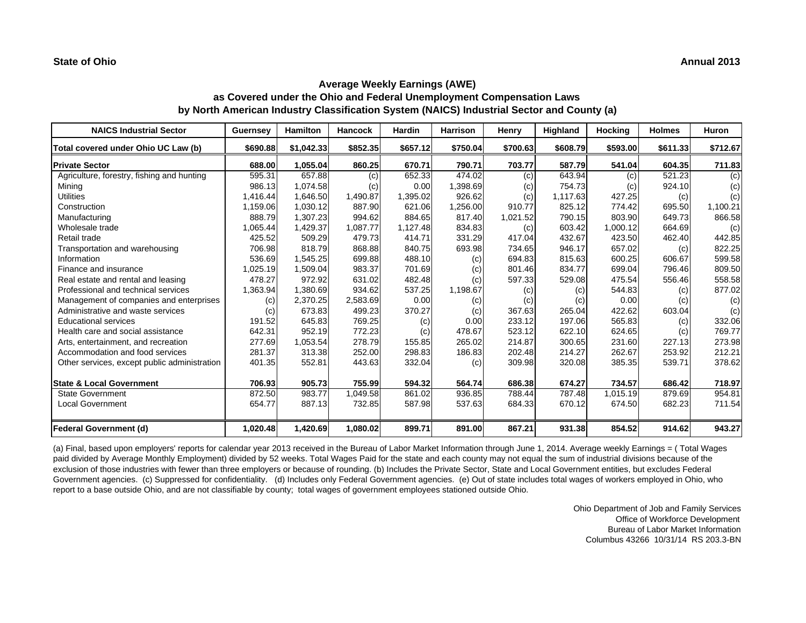| <b>NAICS Industrial Sector</b>               | Guernsey | <b>Hamilton</b> | <b>Hancock</b> | <b>Hardin</b> | <b>Harrison</b> | Henry    | Highland | Hocking  | <b>Holmes</b> | <b>Huron</b> |
|----------------------------------------------|----------|-----------------|----------------|---------------|-----------------|----------|----------|----------|---------------|--------------|
| Total covered under Ohio UC Law (b)          | \$690.88 | \$1,042.33      | \$852.35       | \$657.12      | \$750.04        | \$700.63 | \$608.79 | \$593.00 | \$611.33      | \$712.67     |
| <b>Private Sector</b>                        | 688.00   | 1,055.04        | 860.25         | 670.71        | 790.71          | 703.77   | 587.79   | 541.04   | 604.35        | 711.83       |
| Agriculture, forestry, fishing and hunting   | 595.31   | 657.88          | (c)            | 652.33        | 474.02          | (c)      | 643.94   | (c)      | 521.23        | (c)          |
| Mining                                       | 986.13   | 1,074.58        | (c)            | 0.00          | 1,398.69        | (c)      | 754.73   | (C)      | 924.10        | (c)          |
| <b>Utilities</b>                             | 1,416.44 | 1,646.50        | 1,490.87       | 1,395.02      | 926.62          | (c)      | 1,117.63 | 427.25   | (c)           | (c)          |
| Construction                                 | 1,159.06 | 1,030.12        | 887.90         | 621.06        | 1,256.00        | 910.77   | 825.12   | 774.42   | 695.50        | 1,100.21     |
| Manufacturing                                | 888.79   | 1,307.23        | 994.62         | 884.65        | 817.40          | 1,021.52 | 790.15   | 803.90   | 649.73        | 866.58       |
| Wholesale trade                              | 1,065.44 | 1,429.37        | 1,087.77       | 1,127.48      | 834.83          | (c)      | 603.42   | 1,000.12 | 664.69        | (c)          |
| Retail trade                                 | 425.52   | 509.29          | 479.73         | 414.71        | 331.29          | 417.04   | 432.67   | 423.50   | 462.40        | 442.85       |
| Transportation and warehousing               | 706.98   | 818.79          | 868.88         | 840.75        | 693.98          | 734.65   | 946.17   | 657.02   | (c)           | 822.25       |
| Information                                  | 536.69   | 1,545.25        | 699.88         | 488.10        | (c)             | 694.83   | 815.63   | 600.25   | 606.67        | 599.58       |
| Finance and insurance                        | 1,025.19 | 1,509.04        | 983.37         | 701.69        | (c)             | 801.46   | 834.77   | 699.04   | 796.46        | 809.50       |
| Real estate and rental and leasing           | 478.27   | 972.92          | 631.02         | 482.48        | (c)             | 597.33   | 529.08   | 475.54   | 556.46        | 558.58       |
| Professional and technical services          | 1,363.94 | 1,380.69        | 934.62         | 537.25        | 1,198.67        | (c)      | (c)      | 544.83   | (c)           | 877.02       |
| Management of companies and enterprises      | (c)      | 2,370.25        | 2,583.69       | 0.00          | (c)             | (c)      | (c)      | 0.00     | (c)           | (c)          |
| Administrative and waste services            | (c)      | 673.83          | 499.23         | 370.27        | (c)             | 367.63   | 265.04   | 422.62   | 603.04        | (c)          |
| <b>Educational services</b>                  | 191.52   | 645.83          | 769.25         | (c)           | 0.00            | 233.12   | 197.06   | 565.83   | (c)           | 332.06       |
| Health care and social assistance            | 642.31   | 952.19          | 772.23         | (c)           | 478.67          | 523.12   | 622.10   | 624.65   | (c)           | 769.77       |
| Arts, entertainment, and recreation          | 277.69   | 1,053.54        | 278.79         | 155.85        | 265.02          | 214.87   | 300.65   | 231.60   | 227.13        | 273.98       |
| Accommodation and food services              | 281.37   | 313.38          | 252.00         | 298.83        | 186.83          | 202.48   | 214.27   | 262.67   | 253.92        | 212.21       |
| Other services, except public administration | 401.35   | 552.81          | 443.63         | 332.04        | (c)             | 309.98   | 320.08   | 385.35   | 539.71        | 378.62       |
| <b>State &amp; Local Government</b>          | 706.93   | 905.73          | 755.99         | 594.32        | 564.74          | 686.38   | 674.27   | 734.57   | 686.42        | 718.97       |
| <b>State Government</b>                      | 872.50   | 983.77          | 1,049.58       | 861.02        | 936.85          | 788.44   | 787.48   | 1,015.19 | 879.69        | 954.81       |
| <b>Local Government</b>                      | 654.77   | 887.13          | 732.85         | 587.98        | 537.63          | 684.33   | 670.12   | 674.50   | 682.23        | 711.54       |
| <b>Federal Government (d)</b>                | 1,020.48 | 1,420.69        | 1,080.02       | 899.71        | 891.00          | 867.21   | 931.38   | 854.52   | 914.62        | 943.27       |

(a) Final, based upon employers' reports for calendar year 2013 received in the Bureau of Labor Market Information through June 1, 2014. Average weekly Earnings = ( Total Wages paid divided by Average Monthly Employment) divided by 52 weeks. Total Wages Paid for the state and each county may not equal the sum of industrial divisions because of the exclusion of those industries with fewer than three employers or because of rounding. (b) Includes the Private Sector, State and Local Government entities, but excludes Federal Government agencies. (c) Suppressed for confidentiality. (d) Includes only Federal Government agencies. (e) Out of state includes total wages of workers employed in Ohio, who report to a base outside Ohio, and are not classifiable by county; total wages of government employees stationed outside Ohio.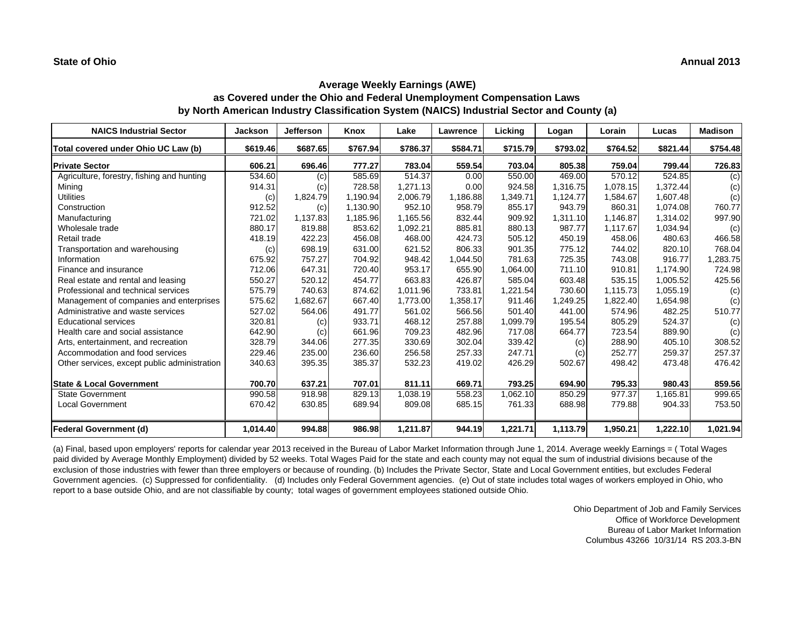| <b>NAICS Industrial Sector</b>               | <b>Jackson</b> | <b>Jefferson</b> | Knox     | Lake     | Lawrence | <b>Licking</b> | Logan    | Lorain   | Lucas    | <b>Madison</b> |
|----------------------------------------------|----------------|------------------|----------|----------|----------|----------------|----------|----------|----------|----------------|
| Total covered under Ohio UC Law (b)          | \$619.46       | \$687.65         | \$767.94 | \$786.37 | \$584.71 | \$715.79       | \$793.02 | \$764.52 | \$821.44 | \$754.48       |
| <b>Private Sector</b>                        | 606.21         | 696.46           | 777.27   | 783.04   | 559.54   | 703.04         | 805.38   | 759.04   | 799.44   | 726.83         |
| Agriculture, forestry, fishing and hunting   | 534.60         | (c)              | 585.69   | 514.37   | 0.00     | 550.00         | 469.00   | 570.12   | 524.85   | (c)            |
| Mining                                       | 914.31         | (c)              | 728.58   | 1.271.13 | 0.00     | 924.58         | 1.316.75 | 1.078.15 | 1.372.44 | (c)            |
| <b>Utilities</b>                             | (c)            | 1,824.79         | 1,190.94 | 2,006.79 | 1,186.88 | 1,349.71       | 1,124.77 | 1,584.67 | 1,607.48 | (c)            |
| Construction                                 | 912.52         | (c)              | 1,130.90 | 952.10   | 958.79   | 855.17         | 943.79   | 860.31   | 1,074.08 | 760.77         |
| Manufacturing                                | 721.02         | 1,137.83         | 1,185.96 | 1,165.56 | 832.44   | 909.92         | 1,311.10 | 1.146.87 | 1,314.02 | 997.90         |
| Wholesale trade                              | 880.17         | 819.88           | 853.62   | 1,092.21 | 885.81   | 880.13         | 987.77   | 1,117.67 | 1,034.94 | (c)            |
| Retail trade                                 | 418.19         | 422.23           | 456.08   | 468.00   | 424.73   | 505.12         | 450.19   | 458.06   | 480.63   | 466.58         |
| Transportation and warehousing               | (c)            | 698.19           | 631.00   | 621.52   | 806.33   | 901.35         | 775.12   | 744.02   | 820.10   | 768.04         |
| Information                                  | 675.92         | 757.27           | 704.92   | 948.42   | 1,044.50 | 781.63         | 725.35   | 743.08   | 916.77   | ,283.75        |
| Finance and insurance                        | 712.06         | 647.31           | 720.40   | 953.17   | 655.90   | 1,064.00       | 711.10   | 910.81   | 1,174.90 | 724.98         |
| Real estate and rental and leasing           | 550.27         | 520.12           | 454.77   | 663.83   | 426.87   | 585.04         | 603.48   | 535.15   | 1,005.52 | 425.56         |
| Professional and technical services          | 575.79         | 740.63           | 874.62   | 1.011.96 | 733.81   | 1,221.54       | 730.60   | 1,115.73 | 1,055.19 | (c)            |
| Management of companies and enterprises      | 575.62         | 1,682.67         | 667.40   | 1,773.00 | 1,358.17 | 911.46         | 1,249.25 | 1,822.40 | 1,654.98 | (c)            |
| Administrative and waste services            | 527.02         | 564.06           | 491.77   | 561.02   | 566.56   | 501.40         | 441.00   | 574.96   | 482.25   | 510.77         |
| <b>Educational services</b>                  | 320.81         | (c)              | 933.71   | 468.12   | 257.88   | 1,099.79       | 195.54   | 805.29   | 524.37   | (c)            |
| Health care and social assistance            | 642.90         | (c)              | 661.96   | 709.23   | 482.96   | 717.08         | 664.77   | 723.54   | 889.90   | (c)            |
| Arts, entertainment, and recreation          | 328.79         | 344.06           | 277.35   | 330.69   | 302.04   | 339.42         | (c)      | 288.90   | 405.10   | 308.52         |
| Accommodation and food services              | 229.46         | 235.00           | 236.60   | 256.58   | 257.33   | 247.71         | (c)      | 252.77   | 259.37   | 257.37         |
| Other services, except public administration | 340.63         | 395.35           | 385.37   | 532.23   | 419.02   | 426.29         | 502.67   | 498.42   | 473.48   | 476.42         |
| <b>State &amp; Local Government</b>          | 700.70         | 637.21           | 707.01   | 811.11   | 669.71   | 793.25         | 694.90   | 795.33   | 980.43   | 859.56         |
| <b>State Government</b>                      | 990.58         | 918.98           | 829.13   | 1,038.19 | 558.23   | 1,062.10       | 850.29   | 977.37   | 1.165.81 | 999.65         |
| <b>Local Government</b>                      | 670.42         | 630.85           | 689.94   | 809.08   | 685.15   | 761.33         | 688.98   | 779.88   | 904.33   | 753.50         |
| <b>Federal Government (d)</b>                | 1,014.40       | 994.88           | 986.98   | 1,211.87 | 944.19   | 1,221.71       | 1,113.79 | 1,950.21 | 1,222.10 | 1,021.94       |

(a) Final, based upon employers' reports for calendar year 2013 received in the Bureau of Labor Market Information through June 1, 2014. Average weekly Earnings = ( Total Wages paid divided by Average Monthly Employment) divided by 52 weeks. Total Wages Paid for the state and each county may not equal the sum of industrial divisions because of the exclusion of those industries with fewer than three employers or because of rounding. (b) Includes the Private Sector, State and Local Government entities, but excludes Federal Government agencies. (c) Suppressed for confidentiality. (d) Includes only Federal Government agencies. (e) Out of state includes total wages of workers employed in Ohio, who report to a base outside Ohio, and are not classifiable by county; total wages of government employees stationed outside Ohio.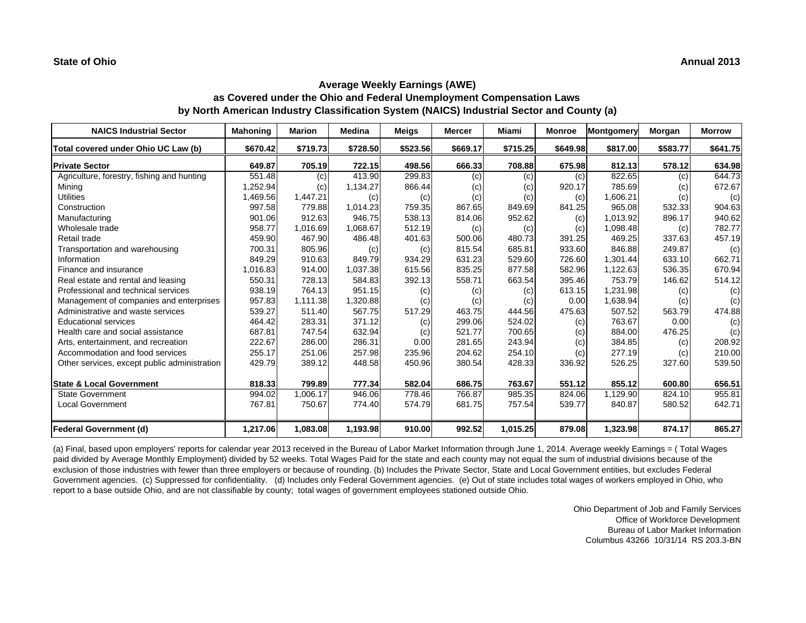| <b>NAICS Industrial Sector</b>               | <b>Mahoning</b> | <b>Marion</b> | <b>Medina</b> | <b>Meigs</b> | Mercer   | Miami    | Monroe   | <b>Montgomery</b> | Morgan   | <b>Morrow</b> |
|----------------------------------------------|-----------------|---------------|---------------|--------------|----------|----------|----------|-------------------|----------|---------------|
| Total covered under Ohio UC Law (b)          | \$670.42        | \$719.73      | \$728.50      | \$523.56     | \$669.17 | \$715.25 | \$649.98 | \$817.00          | \$583.77 | \$641.75      |
| <b>Private Sector</b>                        | 649.87          | 705.19        | 722.15        | 498.56       | 666.33   | 708.88   | 675.98   | 812.13            | 578.12   | 634.98        |
| Agriculture, forestry, fishing and hunting   | 551.48          | (c)           | 413.90        | 299.83       | (c)      | (c)      | (c)      | 822.65            | (c)      | 644.73        |
| Mining                                       | 1,252.94        | (c)           | 1,134.27      | 866.44       | (c)      | (c)      | 920.17   | 785.69            | (c)      | 672.67        |
| <b>Utilities</b>                             | 1,469.56        | 1,447.21      | (c)           | (c)          | (c)      | (c)      | (c)      | 1,606.21          | (c)      | (c)           |
| Construction                                 | 997.58          | 779.88        | 1,014.23      | 759.35       | 867.65   | 849.69   | 841.25   | 965.08            | 532.33   | 904.63        |
| Manufacturing                                | 901.06          | 912.63        | 946.75        | 538.13       | 814.06   | 952.62   | (c)      | 1,013.92          | 896.17   | 940.62        |
| Wholesale trade                              | 958.77          | 1,016.69      | 1,068.67      | 512.19       | (c)      | (c)      | (c)      | 1,098.48          | (c)      | 782.77        |
| Retail trade                                 | 459.90          | 467.90        | 486.48        | 401.63       | 500.06   | 480.73   | 391.25   | 469.25            | 337.63   | 457.19        |
| Transportation and warehousing               | 700.31          | 805.96        | (c)           | (c)          | 815.54   | 685.81   | 933.60   | 846.88            | 249.87   | (c)           |
| Information                                  | 849.29          | 910.63        | 849.79        | 934.29       | 631.23   | 529.60   | 726.60   | 1.301.44          | 633.10   | 662.71        |
| Finance and insurance                        | 1,016.83        | 914.00        | 1,037.38      | 615.56       | 835.25   | 877.58   | 582.96   | 1,122.63          | 536.35   | 670.94        |
| Real estate and rental and leasing           | 550.31          | 728.13        | 584.83        | 392.13       | 558.71   | 663.54   | 395.46   | 753.79            | 146.62   | 514.12        |
| Professional and technical services          | 938.19          | 764.13        | 951.15        | (c)          | (c)      | (c)      | 613.15   | 1,231.98          | (c)      | (c)           |
| Management of companies and enterprises      | 957.83          | 1,111.38      | 1,320.88      | (c)          | (c)      | (c)      | 0.00     | 1,638.94          | (c)      | (c)           |
| Administrative and waste services            | 539.27          | 511.40        | 567.75        | 517.29       | 463.75   | 444.56   | 475.63   | 507.52            | 563.79   | 474.88        |
| <b>Educational services</b>                  | 464.42          | 283.31        | 371.12        | (c)          | 299.06   | 524.02   | (c)      | 763.67            | 0.00     | (c)           |
| Health care and social assistance            | 687.81          | 747.54        | 632.94        | (c)          | 521.77   | 700.65   | (c)      | 884.00            | 476.25   | (c)           |
| Arts, entertainment, and recreation          | 222.67          | 286.00        | 286.31        | 0.00         | 281.65   | 243.94   | (c)      | 384.85            | (c)      | 208.92        |
| Accommodation and food services              | 255.17          | 251.06        | 257.98        | 235.96       | 204.62   | 254.10   | (c)      | 277.19            | (c)      | 210.00        |
| Other services, except public administration | 429.79          | 389.12        | 448.58        | 450.96       | 380.54   | 428.33   | 336.92   | 526.25            | 327.60   | 539.50        |
| <b>State &amp; Local Government</b>          | 818.33          | 799.89        | 777.34        | 582.04       | 686.75   | 763.67   | 551.12   | 855.12            | 600.80   | 656.51        |
| <b>State Government</b>                      | 994.02          | 1,006.17      | 946.06        | 778.46       | 766.87   | 985.35   | 824.06   | 1,129.90          | 824.10   | 955.81        |
| <b>Local Government</b>                      | 767.81          | 750.67        | 774.40        | 574.79       | 681.75   | 757.54   | 539.77   | 840.87            | 580.52   | 642.71        |
| <b>Federal Government (d)</b>                | 1,217.06        | 1,083.08      | 1,193.98      | 910.00       | 992.52   | 1,015.25 | 879.08   | 1,323.98          | 874.17   | 865.27        |

(a) Final, based upon employers' reports for calendar year 2013 received in the Bureau of Labor Market Information through June 1, 2014. Average weekly Earnings = ( Total Wages paid divided by Average Monthly Employment) divided by 52 weeks. Total Wages Paid for the state and each county may not equal the sum of industrial divisions because of the exclusion of those industries with fewer than three employers or because of rounding. (b) Includes the Private Sector, State and Local Government entities, but excludes Federal Government agencies. (c) Suppressed for confidentiality. (d) Includes only Federal Government agencies. (e) Out of state includes total wages of workers employed in Ohio, who report to a base outside Ohio, and are not classifiable by county; total wages of government employees stationed outside Ohio.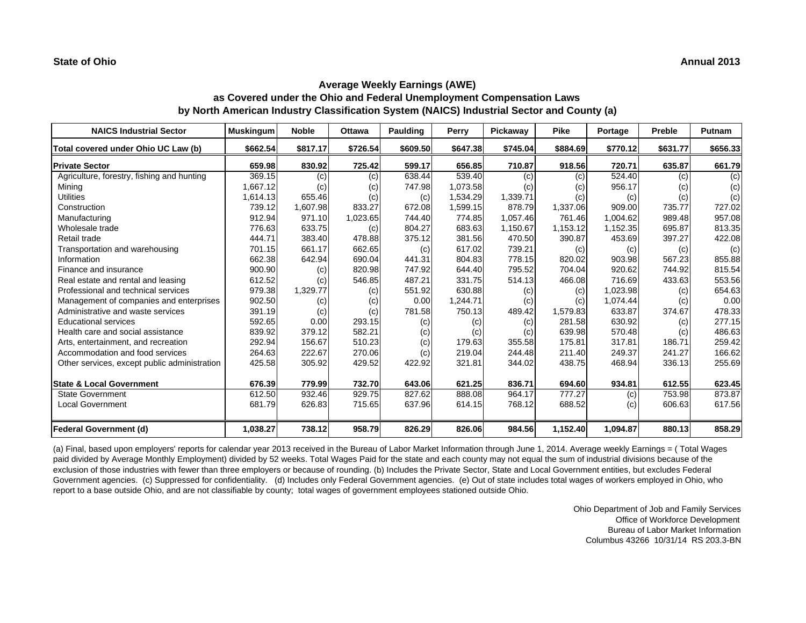| <b>NAICS Industrial Sector</b>               | <b>Muskingum</b> | <b>Noble</b>      | <b>Ottawa</b> | <b>Paulding</b> | Perry    | Pickaway | <b>Pike</b> | Portage  | Preble   | Putnam   |
|----------------------------------------------|------------------|-------------------|---------------|-----------------|----------|----------|-------------|----------|----------|----------|
| Total covered under Ohio UC Law (b)          | \$662.54         | \$817.17          | \$726.54      | \$609.50        | \$647.38 | \$745.04 | \$884.69    | \$770.12 | \$631.77 | \$656.33 |
| <b>Private Sector</b>                        | 659.98           | 830.92            | 725.42        | 599.17          | 656.85   | 710.87   | 918.56      | 720.71   | 635.87   | 661.79   |
| Agriculture, forestry, fishing and hunting   | 369.15           | (c)               | (c)           | 638.44          | 539.40   | (c)      | (c)         | 524.40   | (c)      | (c)      |
| Mining                                       | 1.667.12         | (c)               | (c)           | 747.98          | 1,073.58 | (c)      | (c)         | 956.17   | (c)      | (c)      |
| <b>Utilities</b>                             | 1,614.13         | 655.46            | (c)           | (c)             | 1,534.29 | 1,339.71 | (c)         | (c)      | (c)      | (c)      |
| Construction                                 | 739.12           | 1,607.98          | 833.27        | 672.08          | 1,599.15 | 878.79   | 1,337.06    | 909.00   | 735.77   | 727.02   |
| Manufacturing                                | 912.94           | 971.10            | 1,023.65      | 744.40          | 774.85   | 1.057.46 | 761.46      | 1.004.62 | 989.48   | 957.08   |
| Wholesale trade                              | 776.63           | 633.75            | (c)           | 804.27          | 683.63   | 1,150.67 | 1,153.12    | 1,152.35 | 695.87   | 813.35   |
| Retail trade                                 | 444.71           | 383.40            | 478.88        | 375.12          | 381.56   | 470.50   | 390.87      | 453.69   | 397.27   | 422.08   |
| Transportation and warehousing               | 701.15           | 661.17            | 662.65        | (c)             | 617.02   | 739.21   | (c)         | (c)      | (c)      | (c)      |
| Information                                  | 662.38           | 642.94            | 690.04        | 441.31          | 804.83   | 778.15   | 820.02      | 903.98   | 567.23   | 855.88   |
| Finance and insurance                        | 900.90           | $\left( c\right)$ | 820.98        | 747.92          | 644.40   | 795.52   | 704.04      | 920.62   | 744.92   | 815.54   |
| Real estate and rental and leasing           | 612.52           | (c)               | 546.85        | 487.21          | 331.75   | 514.13   | 466.08      | 716.69   | 433.63   | 553.56   |
| Professional and technical services          | 979.38           | 1,329.77          | (c)           | 551.92          | 630.88   | (c)      | (c)         | 1,023.98 | (c)      | 654.63   |
| Management of companies and enterprises      | 902.50           | (c)               | (c)           | 0.00            | 1,244.71 | (c)      | (c)         | 1,074.44 | (c)      | 0.00     |
| Administrative and waste services            | 391.19           | (c)               | (c)           | 781.58          | 750.13   | 489.42   | 1,579.83    | 633.87   | 374.67   | 478.33   |
| <b>Educational services</b>                  | 592.65           | 0.00              | 293.15        | (c)             | (c)      | (c)      | 281.58      | 630.92   | (c)      | 277.15   |
| Health care and social assistance            | 839.92           | 379.12            | 582.21        | (c)             | (c)      | (c)      | 639.98      | 570.48   | (c)      | 486.63   |
| Arts, entertainment, and recreation          | 292.94           | 156.67            | 510.23        | (c)             | 179.63   | 355.58   | 175.81      | 317.81   | 186.71   | 259.42   |
| Accommodation and food services              | 264.63           | 222.67            | 270.06        | (c)             | 219.04   | 244.48   | 211.40      | 249.37   | 241.27   | 166.62   |
| Other services, except public administration | 425.58           | 305.92            | 429.52        | 422.92          | 321.81   | 344.02   | 438.75      | 468.94   | 336.13   | 255.69   |
| <b>State &amp; Local Government</b>          | 676.39           | 779.99            | 732.70        | 643.06          | 621.25   | 836.71   | 694.60      | 934.81   | 612.55   | 623.45   |
| <b>State Government</b>                      | 612.50           | 932.46            | 929.75        | 827.62          | 888.08   | 964.17   | 777.27      | (c)      | 753.98   | 873.87   |
| <b>Local Government</b>                      | 681.79           | 626.83            | 715.65        | 637.96          | 614.15   | 768.12   | 688.52      | (c)      | 606.63   | 617.56   |
| <b>Federal Government (d)</b>                | 1,038.27         | 738.12            | 958.79        | 826.29          | 826.06   | 984.56   | 1,152.40    | 1,094.87 | 880.13   | 858.29   |

(a) Final, based upon employers' reports for calendar year 2013 received in the Bureau of Labor Market Information through June 1, 2014. Average weekly Earnings = ( Total Wages paid divided by Average Monthly Employment) divided by 52 weeks. Total Wages Paid for the state and each county may not equal the sum of industrial divisions because of the exclusion of those industries with fewer than three employers or because of rounding. (b) Includes the Private Sector, State and Local Government entities, but excludes Federal Government agencies. (c) Suppressed for confidentiality. (d) Includes only Federal Government agencies. (e) Out of state includes total wages of workers employed in Ohio, who report to a base outside Ohio, and are not classifiable by county; total wages of government employees stationed outside Ohio.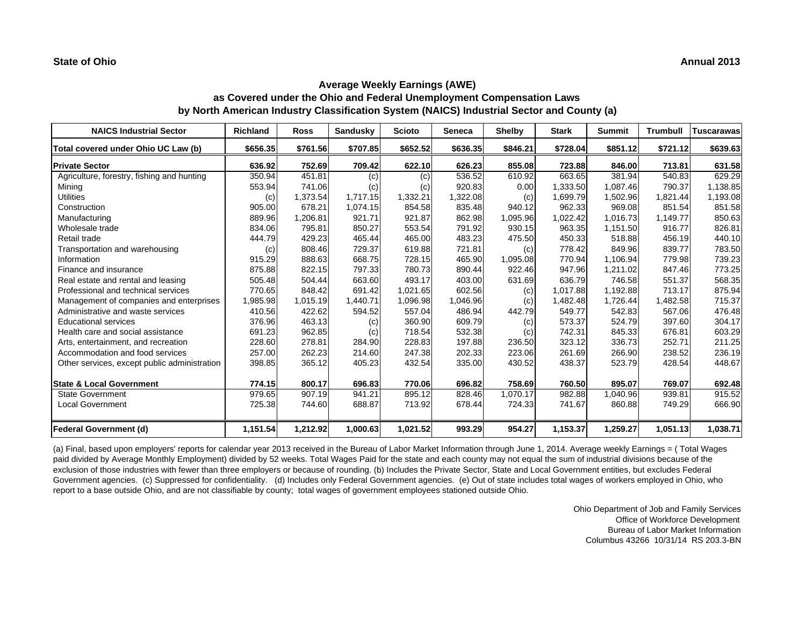| <b>NAICS Industrial Sector</b>               | <b>Richland</b> | <b>Ross</b> | <b>Sandusky</b> | <b>Scioto</b> | <b>Seneca</b> | <b>Shelby</b> | <b>Stark</b> | <b>Summit</b> | <b>Trumbull</b> | <b>Tuscarawas</b> |
|----------------------------------------------|-----------------|-------------|-----------------|---------------|---------------|---------------|--------------|---------------|-----------------|-------------------|
| Total covered under Ohio UC Law (b)          | \$656.35        | \$761.56    | \$707.85        | \$652.52      | \$636.35      | \$846.21      | \$728.04     | \$851.12      | \$721.12        | \$639.63          |
| <b>Private Sector</b>                        | 636.92          | 752.69      | 709.42          | 622.10        | 626.23        | 855.08        | 723.88       | 846.00        | 713.81          | 631.58            |
| Agriculture, forestry, fishing and hunting   | 350.94          | 451.81      | (c)             | (c)           | 536.52        | 610.92        | 663.65       | 381.94        | 540.83          | 629.29            |
| Mining                                       | 553.94          | 741.06      | (c)             | (c)           | 920.83        | 0.00          | 1,333.50     | 1,087.46      | 790.37          | 1,138.85          |
| <b>Utilities</b>                             | (c)             | 1,373.54    | 1,717.15        | 1,332.21      | 1,322.08      | (c)           | 1,699.79     | 1,502.96      | 1,821.44        | 1,193.08          |
| Construction                                 | 905.00          | 678.21      | 1.074.15        | 854.58        | 835.48        | 940.12        | 962.33       | 969.08        | 851.54          | 851.58            |
| Manufacturing                                | 889.96          | 1,206.81    | 921.71          | 921.87        | 862.98        | 1,095.96      | 1,022.42     | 1,016.73      | 1,149.77        | 850.63            |
| Wholesale trade                              | 834.06          | 795.81      | 850.27          | 553.54        | 791.92        | 930.15        | 963.35       | 1,151.50      | 916.77          | 826.81            |
| Retail trade                                 | 444.79          | 429.23      | 465.44          | 465.00        | 483.23        | 475.50        | 450.33       | 518.88        | 456.19          | 440.10            |
| Transportation and warehousing               | (c)             | 808.46      | 729.37          | 619.88        | 721.81        | (c)           | 778.42       | 849.96        | 839.77          | 783.50            |
| Information                                  | 915.29          | 888.63      | 668.75          | 728.15        | 465.90        | 1,095.08      | 770.94       | 1.106.94      | 779.98          | 739.23            |
| Finance and insurance                        | 875.88          | 822.15      | 797.33          | 780.73        | 890.44        | 922.46        | 947.96       | 1.211.02      | 847.46          | 773.25            |
| Real estate and rental and leasing           | 505.48          | 504.44      | 663.60          | 493.17        | 403.00        | 631.69        | 636.79       | 746.58        | 551.37          | 568.35            |
| Professional and technical services          | 770.65          | 848.42      | 691.42          | 1,021.65      | 602.56        | (c)           | 1,017.88     | 1,192.88      | 713.17          | 875.94            |
| Management of companies and enterprises      | 1,985.98        | 1,015.19    | 1,440.71        | 1,096.98      | 1,046.96      | (c)           | 1,482.48     | 1,726.44      | 1,482.58        | 715.37            |
| Administrative and waste services            | 410.56          | 422.62      | 594.52          | 557.04        | 486.94        | 442.79        | 549.77       | 542.83        | 567.06          | 476.48            |
| <b>Educational services</b>                  | 376.96          | 463.13      | (c)             | 360.90        | 609.79        | (c)           | 573.37       | 524.79        | 397.60          | 304.17            |
| Health care and social assistance            | 691.23          | 962.85      | (c)             | 718.54        | 532.38        | (c)           | 742.31       | 845.33        | 676.81          | 603.29            |
| Arts, entertainment, and recreation          | 228.60          | 278.81      | 284.90          | 228.83        | 197.88        | 236.50        | 323.12       | 336.73        | 252.71          | 211.25            |
| Accommodation and food services              | 257.00          | 262.23      | 214.60          | 247.38        | 202.33        | 223.06        | 261.69       | 266.90        | 238.52          | 236.19            |
| Other services, except public administration | 398.85          | 365.12      | 405.23          | 432.54        | 335.00        | 430.52        | 438.37       | 523.79        | 428.54          | 448.67            |
| <b>State &amp; Local Government</b>          | 774.15          | 800.17      | 696.83          | 770.06        | 696.82        | 758.69        | 760.50       | 895.07        | 769.07          | 692.48            |
| <b>State Government</b>                      | 979.65          | 907.19      | 941.21          | 895.12        | 828.46        | 1.070.17      | 982.88       | 1.040.96      | 939.81          | 915.52            |
| <b>Local Government</b>                      | 725.38          | 744.60      | 688.87          | 713.92        | 678.44        | 724.33        | 741.67       | 860.88        | 749.29          | 666.90            |
| <b>Federal Government (d)</b>                | 1,151.54        | 1,212.92    | 1,000.63        | 1,021.52      | 993.29        | 954.27        | 1,153.37     | 1,259.27      | 1,051.13        | 1,038.71          |

(a) Final, based upon employers' reports for calendar year 2013 received in the Bureau of Labor Market Information through June 1, 2014. Average weekly Earnings = ( Total Wages paid divided by Average Monthly Employment) divided by 52 weeks. Total Wages Paid for the state and each county may not equal the sum of industrial divisions because of the exclusion of those industries with fewer than three employers or because of rounding. (b) Includes the Private Sector, State and Local Government entities, but excludes Federal Government agencies. (c) Suppressed for confidentiality. (d) Includes only Federal Government agencies. (e) Out of state includes total wages of workers employed in Ohio, who report to a base outside Ohio, and are not classifiable by county; total wages of government employees stationed outside Ohio.